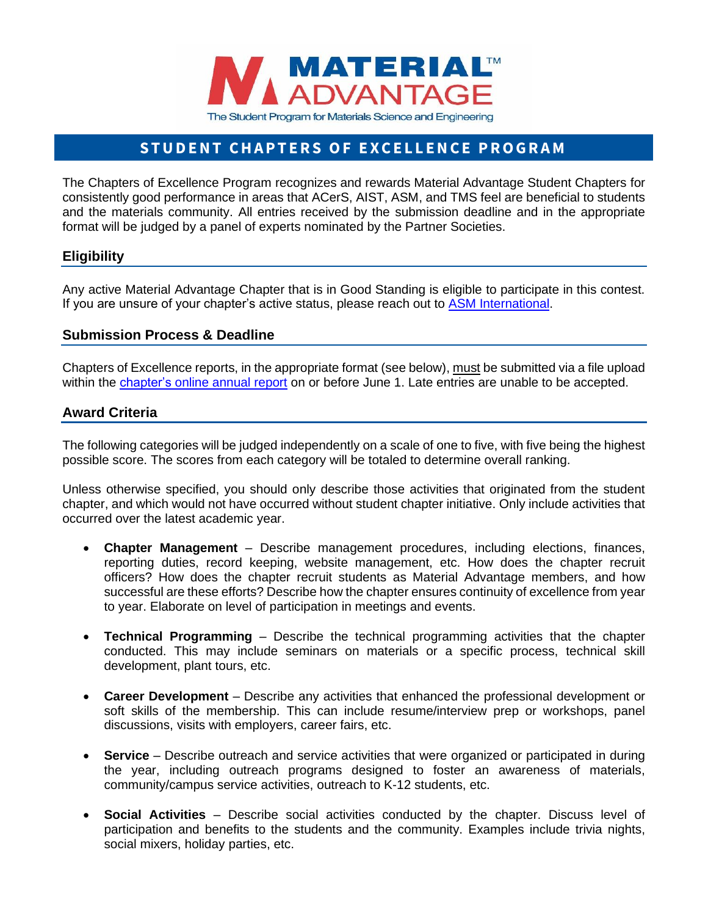

# STUDENT CHAPTERS OF EXCELLENCE PROGRAM

The Chapters of Excellence Program recognizes and rewards Material Advantage Student Chapters for consistently good performance in areas that ACerS, AIST, ASM, and TMS feel are beneficial to students and the materials community. All entries received by the submission deadline and in the appropriate format will be judged by a panel of experts nominated by the Partner Societies.

# **Eligibility**

Any active Material Advantage Chapter that is in Good Standing is eligible to participate in this contest. If you are unsure of your chapter's active status, please reach out to [ASM International.](mailto:students@asminternational.org?subject=COE%20Eligibility%20)

#### **Submission Process & Deadline**

Chapters of Excellence reports, in the appropriate format (see below), must be submitted via a file upload within the [chapter's online annual report](http://materialadvantage.org/student-chapters) on or before June 1. Late entries are unable to be accepted.

# **Award Criteria**

The following categories will be judged independently on a scale of one to five, with five being the highest possible score. The scores from each category will be totaled to determine overall ranking.

Unless otherwise specified, you should only describe those activities that originated from the student chapter, and which would not have occurred without student chapter initiative. Only include activities that occurred over the latest academic year.

- **Chapter Management** Describe management procedures, including elections, finances, reporting duties, record keeping, website management, etc. How does the chapter recruit officers? How does the chapter recruit students as Material Advantage members, and how successful are these efforts? Describe how the chapter ensures continuity of excellence from year to year. Elaborate on level of participation in meetings and events.
- **Technical Programming** Describe the technical programming activities that the chapter conducted. This may include seminars on materials or a specific process, technical skill development, plant tours, etc.
- **Career Development** Describe any activities that enhanced the professional development or soft skills of the membership. This can include resume/interview prep or workshops, panel discussions, visits with employers, career fairs, etc.
- **Service** Describe outreach and service activities that were organized or participated in during the year, including outreach programs designed to foster an awareness of materials, community/campus service activities, outreach to K-12 students, etc.
- **Social Activities** Describe social activities conducted by the chapter. Discuss level of participation and benefits to the students and the community. Examples include trivia nights, social mixers, holiday parties, etc.